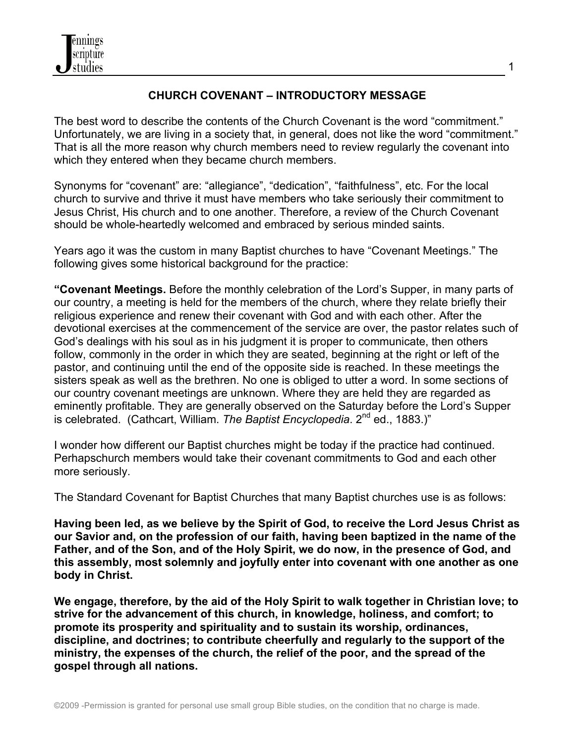

### **CHURCH COVENANT – INTRODUCTORY MESSAGE**

The best word to describe the contents of the Church Covenant is the word "commitment." Unfortunately, we are living in a society that, in general, does not like the word "commitment." That is all the more reason why church members need to review regularly the covenant into which they entered when they became church members.

Synonyms for "covenant" are: "allegiance", "dedication", "faithfulness", etc. For the local church to survive and thrive it must have members who take seriously their commitment to Jesus Christ, His church and to one another. Therefore, a review of the Church Covenant should be whole-heartedly welcomed and embraced by serious minded saints.

Years ago it was the custom in many Baptist churches to have "Covenant Meetings." The following gives some historical background for the practice:

**"Covenant Meetings.** Before the monthly celebration of the Lord's Supper, in many parts of our country, a meeting is held for the members of the church, where they relate briefly their religious experience and renew their covenant with God and with each other. After the devotional exercises at the commencement of the service are over, the pastor relates such of God's dealings with his soul as in his judgment it is proper to communicate, then others follow, commonly in the order in which they are seated, beginning at the right or left of the pastor, and continuing until the end of the opposite side is reached. In these meetings the sisters speak as well as the brethren. No one is obliged to utter a word. In some sections of our country covenant meetings are unknown. Where they are held they are regarded as eminently profitable. They are generally observed on the Saturday before the Lord's Supper is celebrated. (Cathcart, William. *The Baptist Encyclopedia*. 2<sup>nd</sup> ed., 1883.)"

I wonder how different our Baptist churches might be today if the practice had continued. Perhapschurch members would take their covenant commitments to God and each other more seriously.

The Standard Covenant for Baptist Churches that many Baptist churches use is as follows:

**Having been led, as we believe by the Spirit of God, to receive the Lord Jesus Christ as our Savior and, on the profession of our faith, having been baptized in the name of the Father, and of the Son, and of the Holy Spirit, we do now, in the presence of God, and this assembly, most solemnly and joyfully enter into covenant with one another as one body in Christ.** 

**We engage, therefore, by the aid of the Holy Spirit to walk together in Christian love; to strive for the advancement of this church, in knowledge, holiness, and comfort; to promote its prosperity and spirituality and to sustain its worship, ordinances, discipline, and doctrines; to contribute cheerfully and regularly to the support of the ministry, the expenses of the church, the relief of the poor, and the spread of the gospel through all nations.** 

1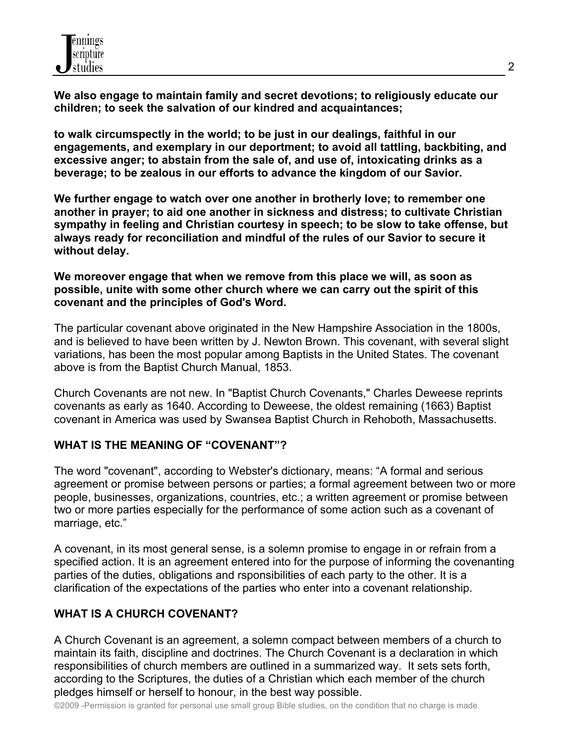**We also engage to maintain family and secret devotions; to religiously educate our children; to seek the salvation of our kindred and acquaintances;** 

**to walk circumspectly in the world; to be just in our dealings, faithful in our engagements, and exemplary in our deportment; to avoid all tattling, backbiting, and excessive anger; to abstain from the sale of, and use of, intoxicating drinks as a beverage; to be zealous in our efforts to advance the kingdom of our Savior.** 

**We further engage to watch over one another in brotherly love; to remember one another in prayer; to aid one another in sickness and distress; to cultivate Christian sympathy in feeling and Christian courtesy in speech; to be slow to take offense, but always ready for reconciliation and mindful of the rules of our Savior to secure it without delay.** 

**We moreover engage that when we remove from this place we will, as soon as possible, unite with some other church where we can carry out the spirit of this covenant and the principles of God's Word.** 

The particular covenant above originated in the New Hampshire Association in the 1800s, and is believed to have been written by J. Newton Brown. This covenant, with several slight variations, has been the most popular among Baptists in the United States. The covenant above is from the Baptist Church Manual, 1853.

Church Covenants are not new. In "Baptist Church Covenants," Charles Deweese reprints covenants as early as 1640. According to Deweese, the oldest remaining (1663) Baptist covenant in America was used by Swansea Baptist Church in Rehoboth, Massachusetts.

### **WHAT IS THE MEANING OF "COVENANT"?**

The word "covenant", according to Webster's dictionary, means: "A formal and serious agreement or promise between persons or parties; a formal agreement between two or more people, businesses, organizations, countries, etc.; a written agreement or promise between two or more parties especially for the performance of some action such as a covenant of marriage, etc."

A covenant, in its most general sense, is a solemn promise to engage in or refrain from a specified action. It is an agreement entered into for the purpose of informing the covenanting parties of the duties, obligations and rsponsibilities of each party to the other. It is a clarification of the expectations of the parties who enter into a covenant relationship.

# **WHAT IS A CHURCH COVENANT?**

A Church Covenant is an agreement, a solemn compact between members of a church to maintain its faith, discipline and doctrines. The Church Covenant is a declaration in which responsibilities of church members are outlined in a summarized way. It sets sets forth, according to the Scriptures, the duties of a Christian which each member of the church pledges himself or herself to honour, in the best way possible.

©2009 -Permission is granted for personal use small group Bible studies, on the condition that no charge is made.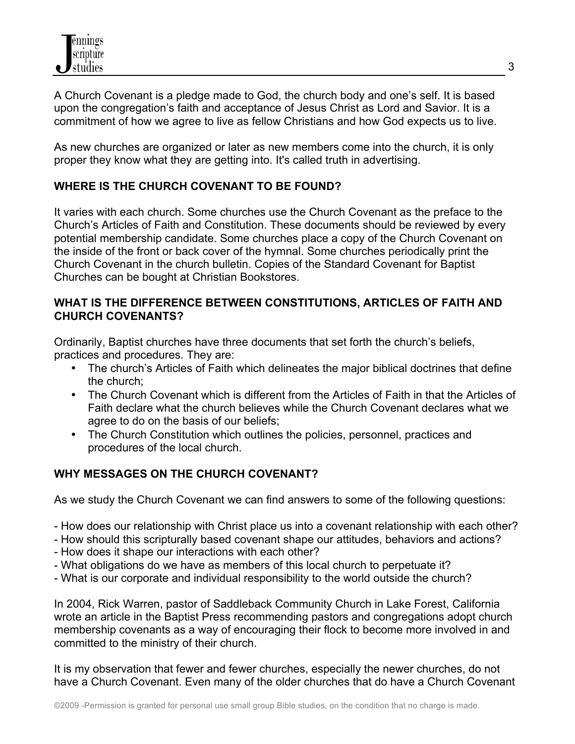A Church Covenant is a pledge made to God, the church body and one's self. It is based upon the congregation's faith and acceptance of Jesus Christ as Lord and Savior. It is a commitment of how we agree to live as fellow Christians and how God expects us to live.

As new churches are organized or later as new members come into the church, it is only proper they know what they are getting into. It's called truth in advertising.

# **WHERE IS THE CHURCH COVENANT TO BE FOUND?**

It varies with each church. Some churches use the Church Covenant as the preface to the Church's Articles of Faith and Constitution. These documents should be reviewed by every potential membership candidate. Some churches place a copy of the Church Covenant on the inside of the front or back cover of the hymnal. Some churches periodically print the Church Covenant in the church bulletin. Copies of the Standard Covenant for Baptist Churches can be bought at Christian Bookstores.

#### **WHAT IS THE DIFFERENCE BETWEEN CONSTITUTIONS, ARTICLES OF FAITH AND CHURCH COVENANTS?**

Ordinarily, Baptist churches have three documents that set forth the church's beliefs, practices and procedures. They are:

- The church's Articles of Faith which delineates the major biblical doctrines that define the church;
- The Church Covenant which is different from the Articles of Faith in that the Articles of Faith declare what the church believes while the Church Covenant declares what we agree to do on the basis of our beliefs;
- The Church Constitution which outlines the policies, personnel, practices and procedures of the local church.

# **WHY MESSAGES ON THE CHURCH COVENANT?**

As we study the Church Covenant we can find answers to some of the following questions:

- How does our relationship with Christ place us into a covenant relationship with each other?
- How should this scripturally based covenant shape our attitudes, behaviors and actions?
- How does it shape our interactions with each other?
- What obligations do we have as members of this local church to perpetuate it?
- What is our corporate and individual responsibility to the world outside the church?

In 2004, Rick Warren, pastor of Saddleback Community Church in Lake Forest, California wrote an article in the Baptist Press recommending pastors and congregations adopt church membership covenants as a way of encouraging their flock to become more involved in and committed to the ministry of their church.

It is my observation that fewer and fewer churches, especially the newer churches, do not have a Church Covenant. Even many of the older churches that do have a Church Covenant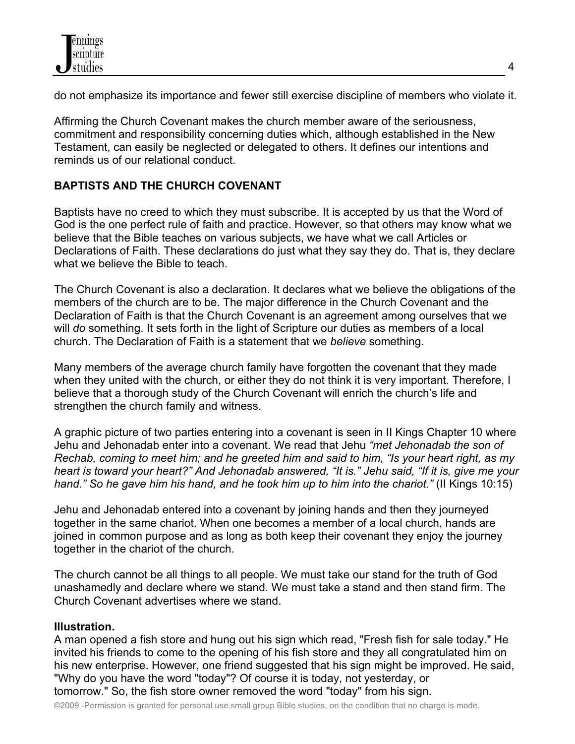do not emphasize its importance and fewer still exercise discipline of members who violate it.

Affirming the Church Covenant makes the church member aware of the seriousness, commitment and responsibility concerning duties which, although established in the New Testament, can easily be neglected or delegated to others. It defines our intentions and reminds us of our relational conduct.

# **BAPTISTS AND THE CHURCH COVENANT**

Baptists have no creed to which they must subscribe. It is accepted by us that the Word of God is the one perfect rule of faith and practice. However, so that others may know what we believe that the Bible teaches on various subjects, we have what we call Articles or Declarations of Faith. These declarations do just what they say they do. That is, they declare what we believe the Bible to teach.

The Church Covenant is also a declaration. It declares what we believe the obligations of the members of the church are to be. The major difference in the Church Covenant and the Declaration of Faith is that the Church Covenant is an agreement among ourselves that we will *do* something. It sets forth in the light of Scripture our duties as members of a local church. The Declaration of Faith is a statement that we *believe* something.

Many members of the average church family have forgotten the covenant that they made when they united with the church, or either they do not think it is very important. Therefore, I believe that a thorough study of the Church Covenant will enrich the church's life and strengthen the church family and witness.

A graphic picture of two parties entering into a covenant is seen in II Kings Chapter 10 where Jehu and Jehonadab enter into a covenant. We read that Jehu *"met Jehonadab the son of Rechab, coming to meet him; and he greeted him and said to him, "Is your heart right, as my heart is toward your heart?" And Jehonadab answered, "It is." Jehu said, "If it is, give me your hand." So he gave him his hand, and he took him up to him into the chariot."* (II Kings 10:15)

Jehu and Jehonadab entered into a covenant by joining hands and then they journeyed together in the same chariot. When one becomes a member of a local church, hands are joined in common purpose and as long as both keep their covenant they enjoy the journey together in the chariot of the church.

The church cannot be all things to all people. We must take our stand for the truth of God unashamedly and declare where we stand. We must take a stand and then stand firm. The Church Covenant advertises where we stand.

### **Illustration.**

A man opened a fish store and hung out his sign which read, "Fresh fish for sale today." He invited his friends to come to the opening of his fish store and they all congratulated him on his new enterprise. However, one friend suggested that his sign might be improved. He said, "Why do you have the word "today"? Of course it is today, not yesterday, or tomorrow." So, the fish store owner removed the word "today" from his sign.

©2009 -Permission is granted for personal use small group Bible studies, on the condition that no charge is made.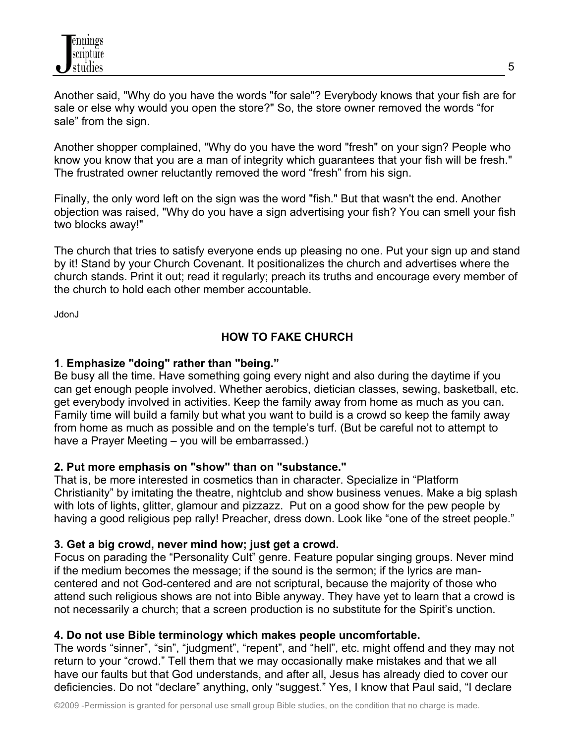Another said, "Why do you have the words "for sale"? Everybody knows that your fish are for sale or else why would you open the store?" So, the store owner removed the words "for sale" from the sign.

Another shopper complained, "Why do you have the word "fresh" on your sign? People who know you know that you are a man of integrity which guarantees that your fish will be fresh." The frustrated owner reluctantly removed the word "fresh" from his sign.

Finally, the only word left on the sign was the word "fish." But that wasn't the end. Another objection was raised, "Why do you have a sign advertising your fish? You can smell your fish two blocks away!"

The church that tries to satisfy everyone ends up pleasing no one. Put your sign up and stand by it! Stand by your Church Covenant. It positionalizes the church and advertises where the church stands. Print it out; read it regularly; preach its truths and encourage every member of the church to hold each other member accountable.

JdonJ

# **HOW TO FAKE CHURCH**

### **1**. **Emphasize "doing" rather than "being."**

Be busy all the time. Have something going every night and also during the daytime if you can get enough people involved. Whether aerobics, dietician classes, sewing, basketball, etc. get everybody involved in activities. Keep the family away from home as much as you can. Family time will build a family but what you want to build is a crowd so keep the family away from home as much as possible and on the temple's turf. (But be careful not to attempt to have a Prayer Meeting – you will be embarrassed.)

### **2. Put more emphasis on "show" than on "substance."**

That is, be more interested in cosmetics than in character. Specialize in "Platform Christianity" by imitating the theatre, nightclub and show business venues. Make a big splash with lots of lights, glitter, glamour and pizzazz. Put on a good show for the pew people by having a good religious pep rally! Preacher, dress down. Look like "one of the street people."

### **3. Get a big crowd, never mind how; just get a crowd.**

Focus on parading the "Personality Cult" genre. Feature popular singing groups. Never mind if the medium becomes the message; if the sound is the sermon; if the lyrics are mancentered and not God-centered and are not scriptural, because the majority of those who attend such religious shows are not into Bible anyway. They have yet to learn that a crowd is not necessarily a church; that a screen production is no substitute for the Spirit's unction.

### **4. Do not use Bible terminology which makes people uncomfortable.**

The words "sinner", "sin", "judgment", "repent", and "hell", etc. might offend and they may not return to your "crowd." Tell them that we may occasionally make mistakes and that we all have our faults but that God understands, and after all, Jesus has already died to cover our deficiencies. Do not "declare" anything, only "suggest." Yes, I know that Paul said, "I declare